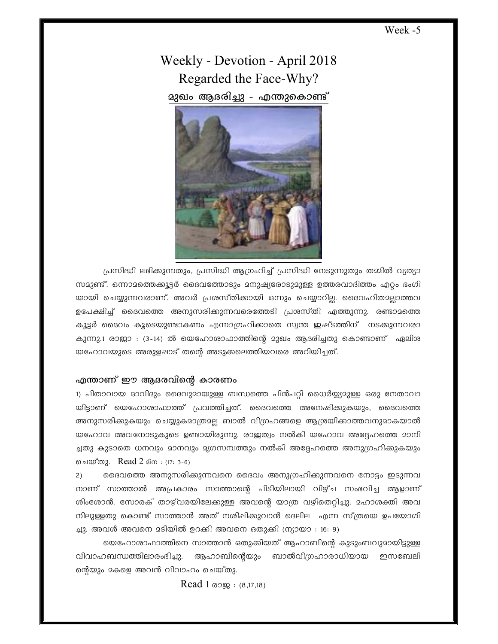## Week -5

Weekly - Devotion - April 2018 Regarded the Face-Why? **മുഖം ആദരിച്ചു - എന്തുകൊണ്ട്** 



(പസിദ്ധി ലഭിക്കുന്നതും, പ്രസിദ്ധി ആഗ്രഹിച്ച് പ്രസിദ്ധി നേടുന്നുതും തമ്മിൽ വ്യത്യാ സമുണ്ട്. ഒന്നാമത്തെക്കുട്ടർ ദൈവത്തോടും മനുഷ്യരോടുമുള്ള ഉത്തരവാദിത്തം എറ്റം ഭംഗി യായി ചെയ്യുന്നവരാണ്. അവർ പ്രശസ്തിക്കായി ഒന്നും ചെയ്യാറില്ല. ദൈവഹിതമല്ലാത്തവ ഉപേക്ഷിച്ച് ദൈവത്തെ അനുസരിക്കുന്നവരെത്തേടി പ്രശസ്തി എത്തുന്നു. രണ്ടാമത്തെ കൂട്ടർ ദൈവം കൂടെയുണ്ടാകണം എന്നാഗ്രഹിക്കാതെ സ്വന്ത ഇഷ്ടത്തിന് നടക്കുന്നവരാ കുന്നു.1 രാജാ : (3-14) ൽ യെഹോശാഫാത്തിന്റെ മുഖം ആദരിച്ചതു കൊണ്ടാണ് ഏലിശ യഹോവയുടെ അരുളപ്പാട് തന്റെ അടുക്കലെത്തിയവരെ അറിയിച്ചത്.

## എന്താണ് ഈ ആദരവിന്റെ കാരണം

1) പിതാവായ ദാവിദും ദൈവുദായുള്ള ബന്ധത്തെ പിൻപറ്റി ധൈർയ്യ്യദുള്ള ഒരു നേതാവാ യിട്ടാണ് യെഹോശാഫാത്ത് പ്രവത്തിച്ചത്. ദൈവത്തെ അനേഷിക്കുകയും, ദൈവത്തെ അനുസരിക്കുകയും ചെയ്യുകമാത്രമല്ല ബാൽ വിഗ്രഹങ്ങളെ ആശ്രയിക്കാത്തവനുമാകയാൽ യഹോവ അവനോടുകുടെ ഉണ്ടായിരുന്നു. രാജയ്വം നൽകി യഹോവ അദ്ദേഹത്തെ മാനി ച്ചതു കുടാതെ ധനവും മാനവും മൃഗസമ്പത്തും നൽകി അദ്ദേഹത്തെ അനുഗ്രഹിക്കുകയും ചെയ്തു. Read 2 ദിന : (17: 3-6)

2) ൈ ദൈവത്തെ അനുസരിക്കുന്നവനെ ദൈവം അനുഗ്രഹിക്കുന്നവനെ നോട്ടം ഇടുന്നവ നാണ് സാത്താൽ അപ്രകാരം സാത്താന്റെ പിടിയിലായി വിഴ്ച സംഭവിച്ച ആളാണ് ശിംശോൻ. സോരക് താഴ്വരയിലേക്കുള്ള അവന്റെ യാത്ര വഴിതെറ്റിച്ചു. മഹാശക്തി അവ  $\Omega$ നിലുള്ളതു കൊണ്ട് സാത്താൻ അത് നശിഷിക്കുവാൻ ദെലില $\Omega$ എന്ന സ്ത്രയെ ഉപയോഗി ച്ചു. അവൾ അവനെ മടിയിൽ ഉറക്കി അവനെ ഒതുക്കി (ന്യായാ : 16: 9)

യെഹോശാഫാത്തിനെ സാത്താൻ ഒതുക്കിയത് ആഹാബിന്റെ കുടുംബവുദായിട്ടുള്ള വിവാഹബന്ധത്തിലാരംഭിച്ചു. ആഹാബിന്റെയും ബാൽവിഗ്രഹാരാധിയായ ഇസബേലി ന്റെയും മകളെ അവൻ വിവാഹം ചെയ്തു.

 $Read 1 \n <sup>1</sup> \n <sup>1</sup> \n <sup>2</sup> \n <sup>1</sup> \n <sup>2</sup> \n <sup>1</sup> \n <sup>2</sup> \n <sup>1</sup> \n <sup>2</sup> \n <sup>1</sup> \n <sup>2</sup> \n <sup>1</sup> \n <sup>2</sup> \n <sup>1</sup> \n <sup>1</sup> \n <sup>1</sup> \n <sup>1</sup> \n <sup>1</sup> \n <sup>1</sup> \n <sup>1</sup> \n <sup>1</sup> \n <sup>1</sup>$